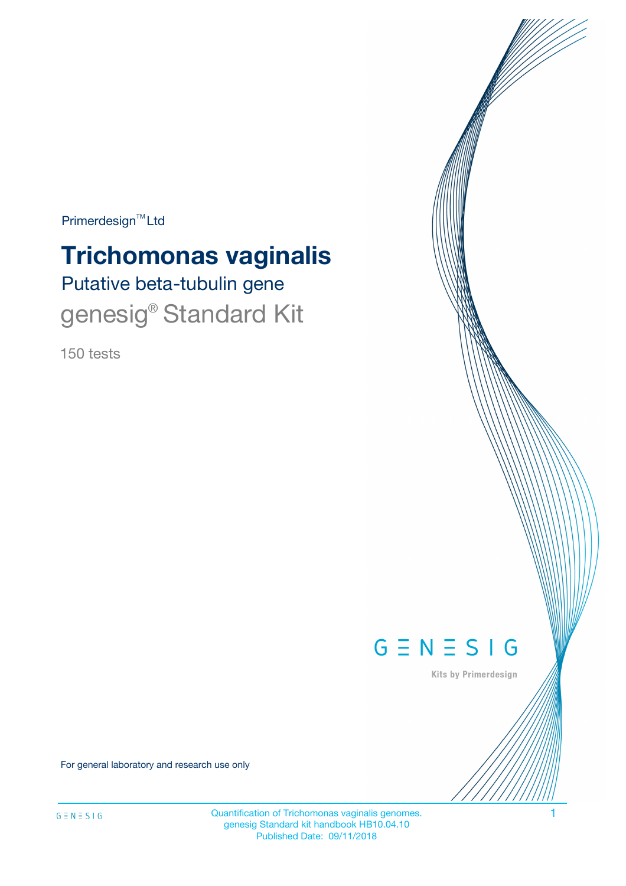$Primerdesign^{\text{TM}}Ltd$ 

# **Trichomonas vaginalis**

Putative beta-tubulin gene genesig<sup>®</sup> Standard Kit

150 tests



Kits by Primerdesign

For general laboratory and research use only

Quantification of Trichomonas vaginalis genomes. 1 genesig Standard kit handbook HB10.04.10 Published Date: 09/11/2018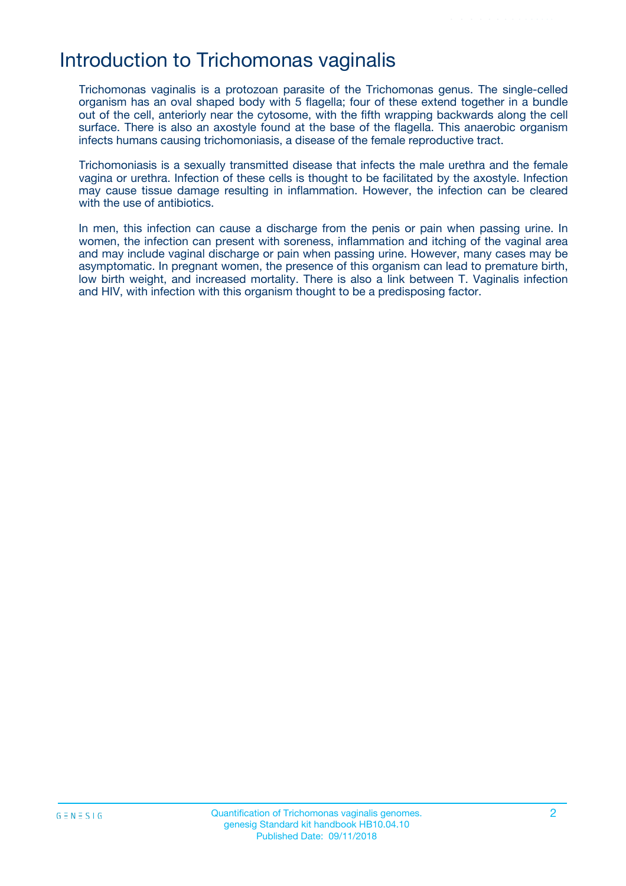### Introduction to Trichomonas vaginalis

Trichomonas vaginalis is a protozoan parasite of the Trichomonas genus. The single-celled organism has an oval shaped body with 5 flagella; four of these extend together in a bundle out of the cell, anteriorly near the cytosome, with the fifth wrapping backwards along the cell surface. There is also an axostyle found at the base of the flagella. This anaerobic organism infects humans causing trichomoniasis, a disease of the female reproductive tract.

Trichomoniasis is a sexually transmitted disease that infects the male urethra and the female vagina or urethra. Infection of these cells is thought to be facilitated by the axostyle. Infection may cause tissue damage resulting in inflammation. However, the infection can be cleared with the use of antibiotics.

In men, this infection can cause a discharge from the penis or pain when passing urine. In women, the infection can present with soreness, inflammation and itching of the vaginal area and may include vaginal discharge or pain when passing urine. However, many cases may be asymptomatic. In pregnant women, the presence of this organism can lead to premature birth, low birth weight, and increased mortality. There is also a link between T. Vaginalis infection and HIV, with infection with this organism thought to be a predisposing factor.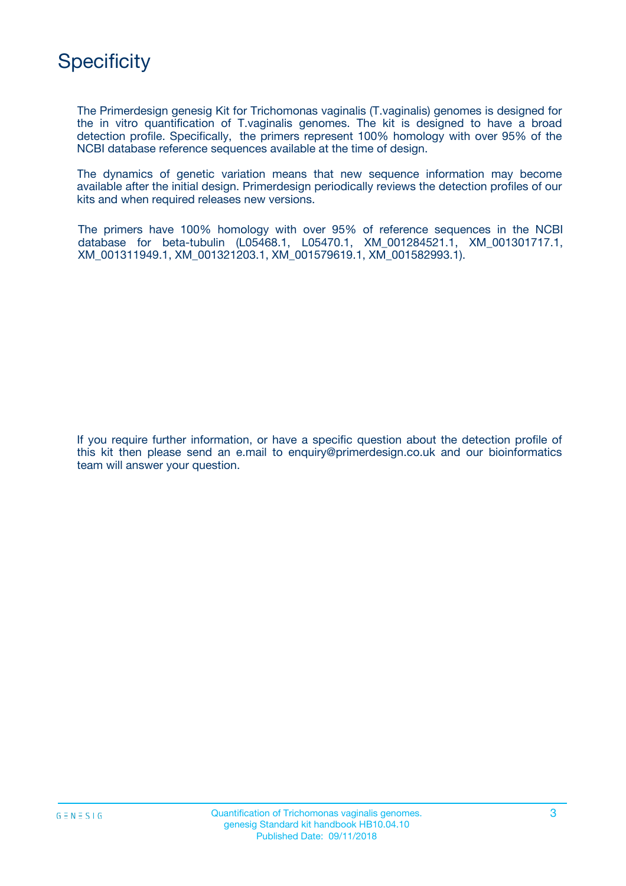

The Primerdesign genesig Kit for Trichomonas vaginalis (T.vaginalis) genomes is designed for the in vitro quantification of T.vaginalis genomes. The kit is designed to have a broad detection profile. Specifically, the primers represent 100% homology with over 95% of the NCBI database reference sequences available at the time of design.

The dynamics of genetic variation means that new sequence information may become available after the initial design. Primerdesign periodically reviews the detection profiles of our kits and when required releases new versions.

The primers have 100% homology with over 95% of reference sequences in the NCBI database for beta-tubulin (L05468.1, L05470.1, XM\_001284521.1, XM\_001301717.1, XM\_001311949.1, XM\_001321203.1, XM\_001579619.1, XM\_001582993.1).

If you require further information, or have a specific question about the detection profile of this kit then please send an e.mail to enquiry@primerdesign.co.uk and our bioinformatics team will answer your question.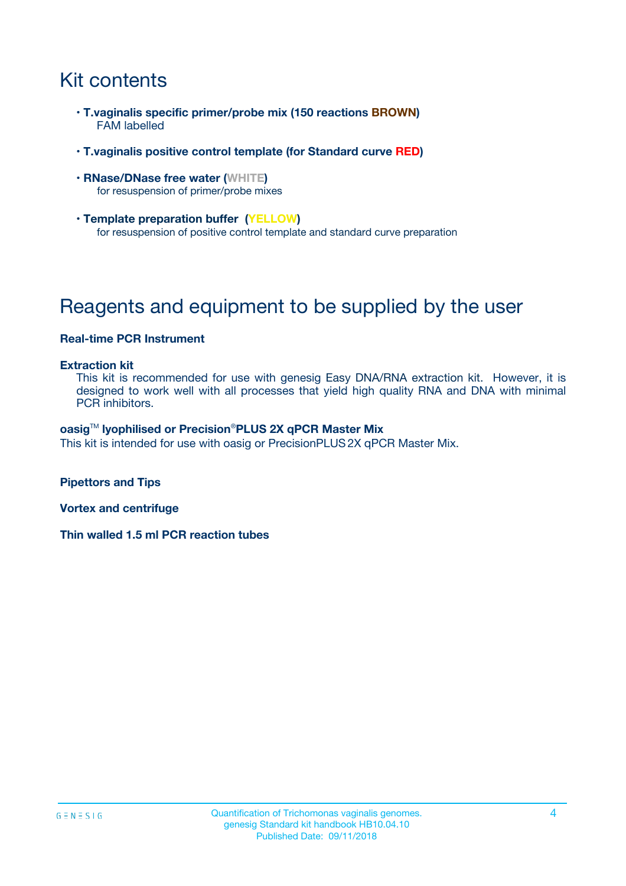# Kit contents

- **T.vaginalis specific primer/probe mix (150 reactions BROWN)** FAM labelled
- **T.vaginalis positive control template (for Standard curve RED)**
- **RNase/DNase free water (WHITE)** for resuspension of primer/probe mixes
- **Template preparation buffer (YELLOW)** for resuspension of positive control template and standard curve preparation

## Reagents and equipment to be supplied by the user

#### **Real-time PCR Instrument**

#### **Extraction kit**

This kit is recommended for use with genesig Easy DNA/RNA extraction kit. However, it is designed to work well with all processes that yield high quality RNA and DNA with minimal PCR inhibitors.

#### **oasig**TM **lyophilised or Precision**®**PLUS 2X qPCR Master Mix**

This kit is intended for use with oasig or PrecisionPLUS2X qPCR Master Mix.

**Pipettors and Tips**

**Vortex and centrifuge**

**Thin walled 1.5 ml PCR reaction tubes**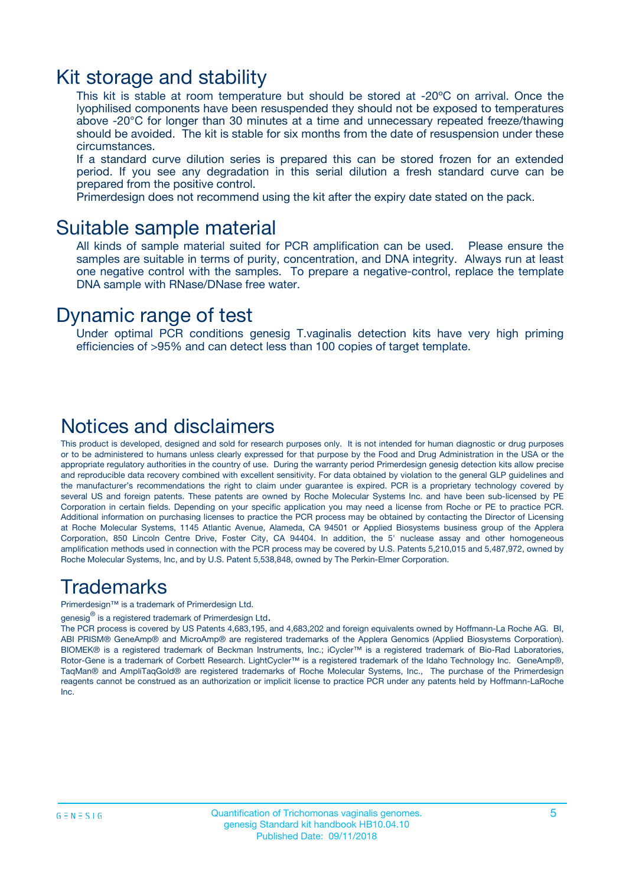### Kit storage and stability

This kit is stable at room temperature but should be stored at -20ºC on arrival. Once the lyophilised components have been resuspended they should not be exposed to temperatures above -20°C for longer than 30 minutes at a time and unnecessary repeated freeze/thawing should be avoided. The kit is stable for six months from the date of resuspension under these circumstances.

If a standard curve dilution series is prepared this can be stored frozen for an extended period. If you see any degradation in this serial dilution a fresh standard curve can be prepared from the positive control.

Primerdesign does not recommend using the kit after the expiry date stated on the pack.

### Suitable sample material

All kinds of sample material suited for PCR amplification can be used. Please ensure the samples are suitable in terms of purity, concentration, and DNA integrity. Always run at least one negative control with the samples. To prepare a negative-control, replace the template DNA sample with RNase/DNase free water.

### Dynamic range of test

Under optimal PCR conditions genesig T.vaginalis detection kits have very high priming efficiencies of >95% and can detect less than 100 copies of target template.

### Notices and disclaimers

This product is developed, designed and sold for research purposes only. It is not intended for human diagnostic or drug purposes or to be administered to humans unless clearly expressed for that purpose by the Food and Drug Administration in the USA or the appropriate regulatory authorities in the country of use. During the warranty period Primerdesign genesig detection kits allow precise and reproducible data recovery combined with excellent sensitivity. For data obtained by violation to the general GLP guidelines and the manufacturer's recommendations the right to claim under guarantee is expired. PCR is a proprietary technology covered by several US and foreign patents. These patents are owned by Roche Molecular Systems Inc. and have been sub-licensed by PE Corporation in certain fields. Depending on your specific application you may need a license from Roche or PE to practice PCR. Additional information on purchasing licenses to practice the PCR process may be obtained by contacting the Director of Licensing at Roche Molecular Systems, 1145 Atlantic Avenue, Alameda, CA 94501 or Applied Biosystems business group of the Applera Corporation, 850 Lincoln Centre Drive, Foster City, CA 94404. In addition, the 5' nuclease assay and other homogeneous amplification methods used in connection with the PCR process may be covered by U.S. Patents 5,210,015 and 5,487,972, owned by Roche Molecular Systems, Inc, and by U.S. Patent 5,538,848, owned by The Perkin-Elmer Corporation.

### Trademarks

Primerdesign™ is a trademark of Primerdesign Ltd.

genesig $^\circledR$  is a registered trademark of Primerdesign Ltd.

The PCR process is covered by US Patents 4,683,195, and 4,683,202 and foreign equivalents owned by Hoffmann-La Roche AG. BI, ABI PRISM® GeneAmp® and MicroAmp® are registered trademarks of the Applera Genomics (Applied Biosystems Corporation). BIOMEK® is a registered trademark of Beckman Instruments, Inc.; iCycler™ is a registered trademark of Bio-Rad Laboratories, Rotor-Gene is a trademark of Corbett Research. LightCycler™ is a registered trademark of the Idaho Technology Inc. GeneAmp®, TaqMan® and AmpliTaqGold® are registered trademarks of Roche Molecular Systems, Inc., The purchase of the Primerdesign reagents cannot be construed as an authorization or implicit license to practice PCR under any patents held by Hoffmann-LaRoche Inc.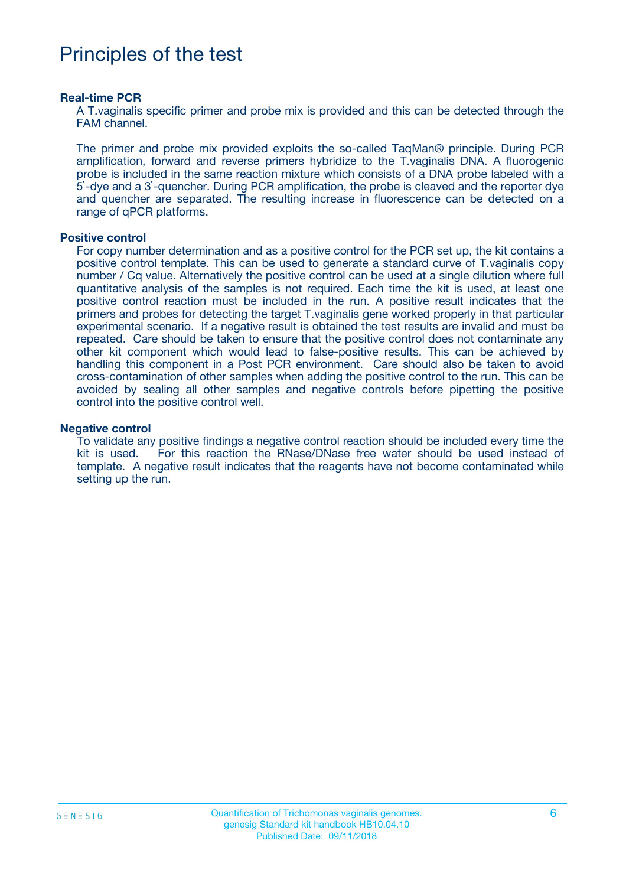### Principles of the test

#### **Real-time PCR**

A T.vaginalis specific primer and probe mix is provided and this can be detected through the FAM channel.

The primer and probe mix provided exploits the so-called TaqMan® principle. During PCR amplification, forward and reverse primers hybridize to the T.vaginalis DNA. A fluorogenic probe is included in the same reaction mixture which consists of a DNA probe labeled with a 5`-dye and a 3`-quencher. During PCR amplification, the probe is cleaved and the reporter dye and quencher are separated. The resulting increase in fluorescence can be detected on a range of qPCR platforms.

#### **Positive control**

For copy number determination and as a positive control for the PCR set up, the kit contains a positive control template. This can be used to generate a standard curve of T.vaginalis copy number / Cq value. Alternatively the positive control can be used at a single dilution where full quantitative analysis of the samples is not required. Each time the kit is used, at least one positive control reaction must be included in the run. A positive result indicates that the primers and probes for detecting the target T.vaginalis gene worked properly in that particular experimental scenario. If a negative result is obtained the test results are invalid and must be repeated. Care should be taken to ensure that the positive control does not contaminate any other kit component which would lead to false-positive results. This can be achieved by handling this component in a Post PCR environment. Care should also be taken to avoid cross-contamination of other samples when adding the positive control to the run. This can be avoided by sealing all other samples and negative controls before pipetting the positive control into the positive control well.

#### **Negative control**

To validate any positive findings a negative control reaction should be included every time the kit is used. For this reaction the RNase/DNase free water should be used instead of template. A negative result indicates that the reagents have not become contaminated while setting up the run.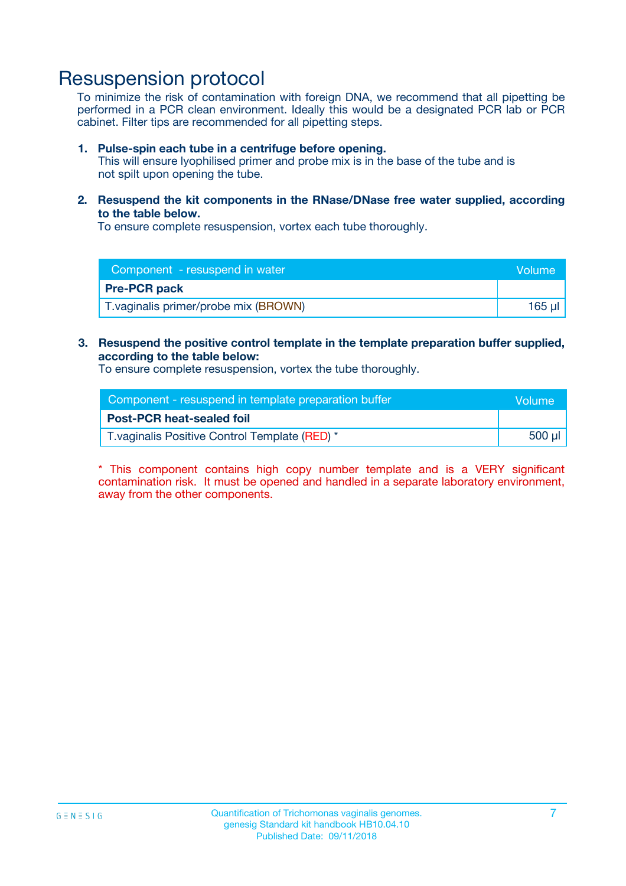### Resuspension protocol

To minimize the risk of contamination with foreign DNA, we recommend that all pipetting be performed in a PCR clean environment. Ideally this would be a designated PCR lab or PCR cabinet. Filter tips are recommended for all pipetting steps.

#### **1. Pulse-spin each tube in a centrifuge before opening.**

This will ensure lyophilised primer and probe mix is in the base of the tube and is not spilt upon opening the tube.

**2. Resuspend the kit components in the RNase/DNase free water supplied, according to the table below.**

To ensure complete resuspension, vortex each tube thoroughly.

| Component - resuspend in water        | Volume |
|---------------------------------------|--------|
| <b>Pre-PCR pack</b>                   |        |
| T. vaginalis primer/probe mix (BROWN) | 165 µl |

#### **3. Resuspend the positive control template in the template preparation buffer supplied, according to the table below:**

To ensure complete resuspension, vortex the tube thoroughly.

| Component - resuspend in template preparation buffer |        |  |
|------------------------------------------------------|--------|--|
| <b>Post-PCR heat-sealed foil</b>                     |        |  |
| T. vaginalis Positive Control Template (RED) *       | 500 µl |  |

\* This component contains high copy number template and is a VERY significant contamination risk. It must be opened and handled in a separate laboratory environment, away from the other components.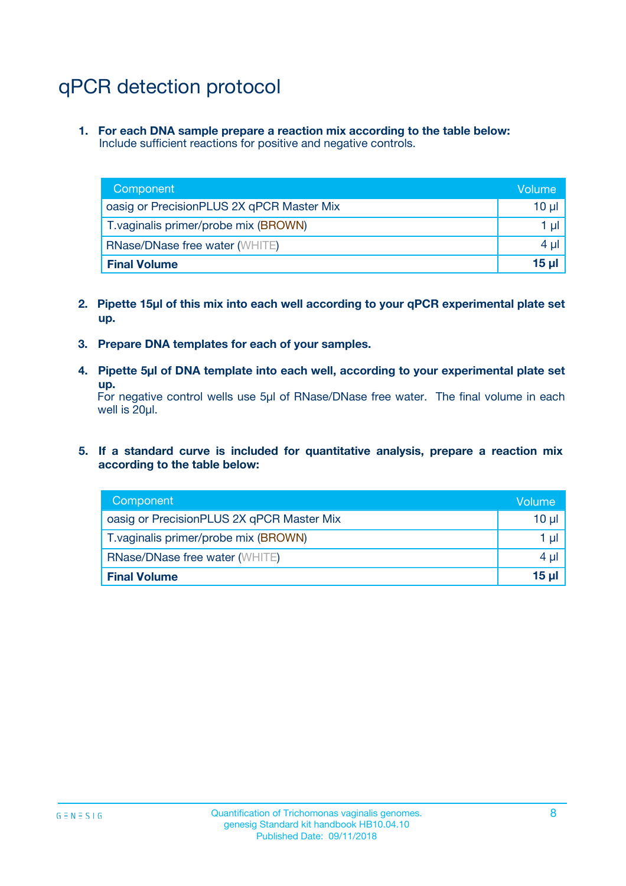# qPCR detection protocol

**1. For each DNA sample prepare a reaction mix according to the table below:** Include sufficient reactions for positive and negative controls.

| Component                                 | Volume           |
|-------------------------------------------|------------------|
| oasig or PrecisionPLUS 2X qPCR Master Mix | 10 $\mu$         |
| T. vaginalis primer/probe mix (BROWN)     | 1 $\mu$          |
| <b>RNase/DNase free water (WHITE)</b>     | $4 \mu$          |
| <b>Final Volume</b>                       | 15 <sub>ul</sub> |

- **2. Pipette 15µl of this mix into each well according to your qPCR experimental plate set up.**
- **3. Prepare DNA templates for each of your samples.**
- **4. Pipette 5µl of DNA template into each well, according to your experimental plate set up.**

For negative control wells use 5µl of RNase/DNase free water. The final volume in each well is 20µl.

**5. If a standard curve is included for quantitative analysis, prepare a reaction mix according to the table below:**

| Component                                 | Volume          |
|-------------------------------------------|-----------------|
| oasig or PrecisionPLUS 2X qPCR Master Mix | 10 µl           |
| T. vaginalis primer/probe mix (BROWN)     | 1 µI            |
| <b>RNase/DNase free water (WHITE)</b>     | $4 \mu$         |
| <b>Final Volume</b>                       | 15 <sub>µ</sub> |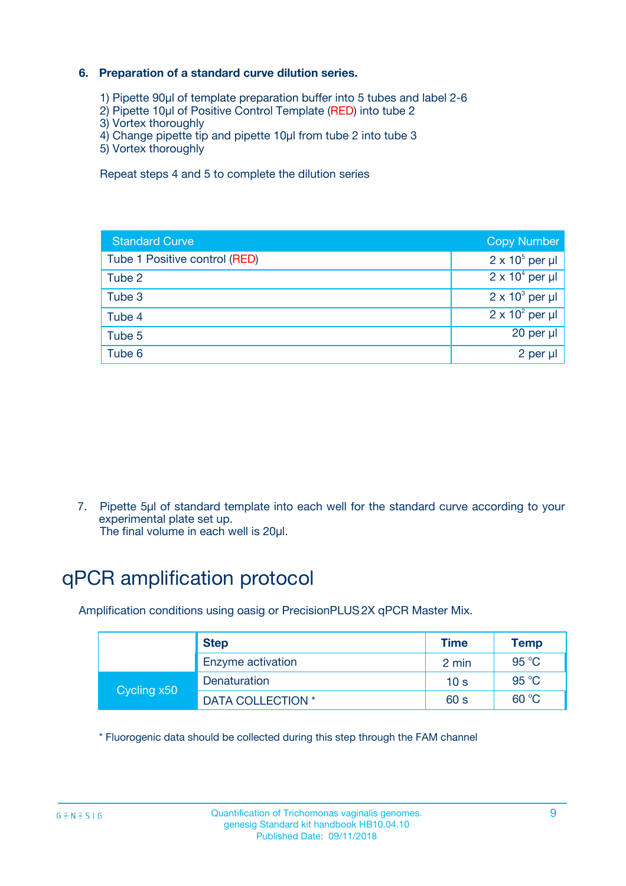#### **6. Preparation of a standard curve dilution series.**

- 1) Pipette 90µl of template preparation buffer into 5 tubes and label 2-6
- 2) Pipette 10µl of Positive Control Template (RED) into tube 2
- 3) Vortex thoroughly
- 4) Change pipette tip and pipette 10µl from tube 2 into tube 3
- 5) Vortex thoroughly

Repeat steps 4 and 5 to complete the dilution series

| <b>Standard Curve</b>         | <b>Copy Number</b>     |
|-------------------------------|------------------------|
| Tube 1 Positive control (RED) | $2 \times 10^5$ per µl |
| Tube 2                        | $2 \times 10^4$ per µl |
| Tube 3                        | $2 \times 10^3$ per µl |
| Tube 4                        | $2 \times 10^2$ per µl |
| Tube 5                        | 20 per µl              |
| Tube 6                        | 2 per ul               |

7. Pipette 5µl of standard template into each well for the standard curve according to your experimental plate set up.

The final volume in each well is 20µl.

# qPCR amplification protocol

Amplification conditions using oasig or PrecisionPLUS2X qPCR Master Mix.

|             | <b>Step</b>       | <b>Time</b>     | Temp    |
|-------------|-------------------|-----------------|---------|
|             | Enzyme activation | 2 min           | 95 °C   |
| Cycling x50 | Denaturation      | 10 <sub>s</sub> | 95 $°C$ |
|             | DATA COLLECTION * | 60 s            | 60 °C   |

\* Fluorogenic data should be collected during this step through the FAM channel